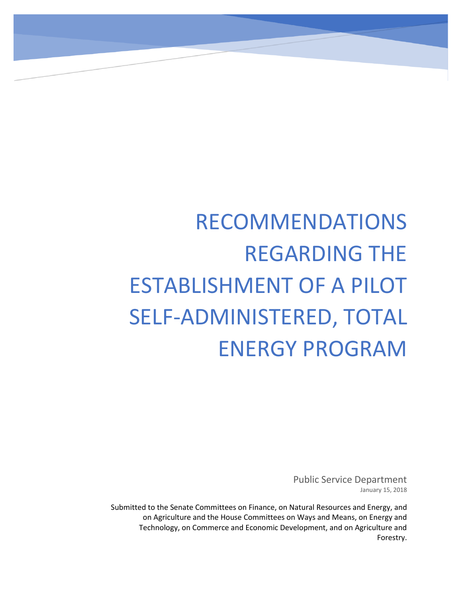# RECOMMENDATIONS REGARDING THE ESTABLISHMENT OF A PILOT SELF-ADMINISTERED, TOTAL ENERGY PROGRAM

Public Service Department January 15, 2018

Submitted to the Senate Committees on Finance, on Natural Resources and Energy, and on Agriculture and the House Committees on Ways and Means, on Energy and Technology, on Commerce and Economic Development, and on Agriculture and Forestry.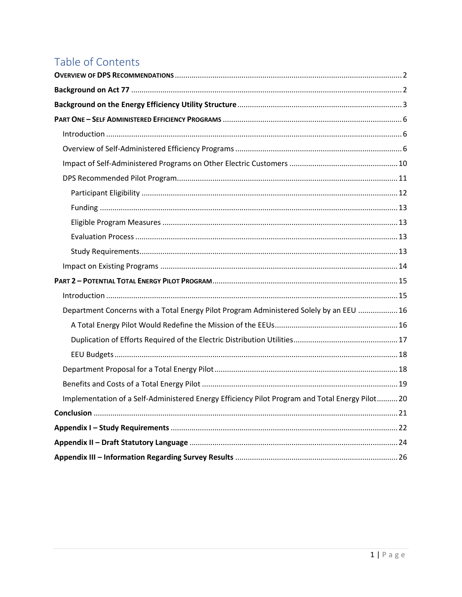# Table of Contents

| Department Concerns with a Total Energy Pilot Program Administered Solely by an EEU  16        |  |
|------------------------------------------------------------------------------------------------|--|
|                                                                                                |  |
|                                                                                                |  |
|                                                                                                |  |
|                                                                                                |  |
|                                                                                                |  |
| Implementation of a Self-Administered Energy Efficiency Pilot Program and Total Energy Pilot20 |  |
|                                                                                                |  |
|                                                                                                |  |
|                                                                                                |  |
|                                                                                                |  |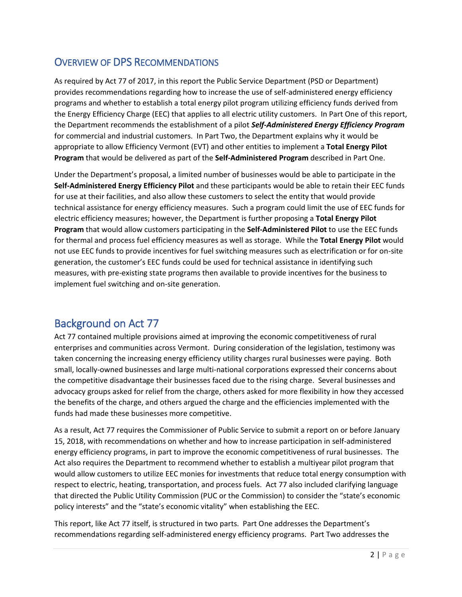# <span id="page-2-0"></span>OVERVIEW OF DPS RECOMMENDATIONS

As required by Act 77 of 2017, in this report the Public Service Department (PSD or Department) provides recommendations regarding how to increase the use of self-administered energy efficiency programs and whether to establish a total energy pilot program utilizing efficiency funds derived from the Energy Efficiency Charge (EEC) that applies to all electric utility customers. In Part One of this report, the Department recommends the establishment of a pilot *Self-Administered Energy Efficiency Program*  for commercial and industrial customers. In Part Two, the Department explains why it would be appropriate to allow Efficiency Vermont (EVT) and other entities to implement a **Total Energy Pilot Program** that would be delivered as part of the **Self-Administered Program** described in Part One.

Under the Department's proposal, a limited number of businesses would be able to participate in the **Self-Administered Energy Efficiency Pilot** and these participants would be able to retain their EEC funds for use at their facilities, and also allow these customers to select the entity that would provide technical assistance for energy efficiency measures. Such a program could limit the use of EEC funds for electric efficiency measures; however, the Department is further proposing a **Total Energy Pilot Program** that would allow customers participating in the **Self-Administered Pilot** to use the EEC funds for thermal and process fuel efficiency measures as well as storage. While the **Total Energy Pilot** would not use EEC funds to provide incentives for fuel switching measures such as electrification or for on-site generation, the customer's EEC funds could be used for technical assistance in identifying such measures, with pre-existing state programs then available to provide incentives for the business to implement fuel switching and on-site generation.

# <span id="page-2-1"></span>Background on Act 77

Act 77 contained multiple provisions aimed at improving the economic competitiveness of rural enterprises and communities across Vermont. During consideration of the legislation, testimony was taken concerning the increasing energy efficiency utility charges rural businesses were paying. Both small, locally-owned businesses and large multi-national corporations expressed their concerns about the competitive disadvantage their businesses faced due to the rising charge. Several businesses and advocacy groups asked for relief from the charge, others asked for more flexibility in how they accessed the benefits of the charge, and others argued the charge and the efficiencies implemented with the funds had made these businesses more competitive.

As a result, Act 77 requires the Commissioner of Public Service to submit a report on or before January 15, 2018, with recommendations on whether and how to increase participation in self-administered energy efficiency programs, in part to improve the economic competitiveness of rural businesses. The Act also requires the Department to recommend whether to establish a multiyear pilot program that would allow customers to utilize EEC monies for investments that reduce total energy consumption with respect to electric, heating, transportation, and process fuels. Act 77 also included clarifying language that directed the Public Utility Commission (PUC or the Commission) to consider the "state's economic policy interests" and the "state's economic vitality" when establishing the EEC.

This report, like Act 77 itself, is structured in two parts. Part One addresses the Department's recommendations regarding self-administered energy efficiency programs. Part Two addresses the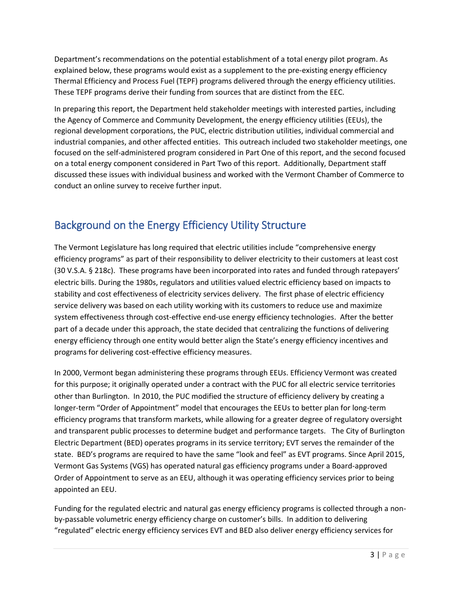Department's recommendations on the potential establishment of a total energy pilot program. As explained below, these programs would exist as a supplement to the pre-existing energy efficiency Thermal Efficiency and Process Fuel (TEPF) programs delivered through the energy efficiency utilities. These TEPF programs derive their funding from sources that are distinct from the EEC.

In preparing this report, the Department held stakeholder meetings with interested parties, including the Agency of Commerce and Community Development, the energy efficiency utilities (EEUs), the regional development corporations, the PUC, electric distribution utilities, individual commercial and industrial companies, and other affected entities. This outreach included two stakeholder meetings, one focused on the self-administered program considered in Part One of this report, and the second focused on a total energy component considered in Part Two of this report. Additionally, Department staff discussed these issues with individual business and worked with the Vermont Chamber of Commerce to conduct an online survey to receive further input.

# <span id="page-3-0"></span>Background on the Energy Efficiency Utility Structure

The Vermont Legislature has long required that electric utilities include "comprehensive energy efficiency programs" as part of their responsibility to deliver electricity to their customers at least cost (30 V.S.A. § 218c). These programs have been incorporated into rates and funded through ratepayers' electric bills. During the 1980s, regulators and utilities valued electric efficiency based on impacts to stability and cost effectiveness of electricity services delivery. The first phase of electric efficiency service delivery was based on each utility working with its customers to reduce use and maximize system effectiveness through cost-effective end-use energy efficiency technologies. After the better part of a decade under this approach, the state decided that centralizing the functions of delivering energy efficiency through one entity would better align the State's energy efficiency incentives and programs for delivering cost-effective efficiency measures.

In 2000, Vermont began administering these programs through EEUs. Efficiency Vermont was created for this purpose; it originally operated under a contract with the PUC for all electric service territories other than Burlington. In 2010, the PUC modified the structure of efficiency delivery by creating a longer-term "Order of Appointment" model that encourages the EEUs to better plan for long-term efficiency programs that transform markets, while allowing for a greater degree of regulatory oversight and transparent public processes to determine budget and performance targets. The City of Burlington Electric Department (BED) operates programs in its service territory; EVT serves the remainder of the state. BED's programs are required to have the same "look and feel" as EVT programs. Since April 2015, Vermont Gas Systems (VGS) has operated natural gas efficiency programs under a Board-approved Order of Appointment to serve as an EEU, although it was operating efficiency services prior to being appointed an EEU.

Funding for the regulated electric and natural gas energy efficiency programs is collected through a nonby-passable volumetric energy efficiency charge on customer's bills. In addition to delivering "regulated" electric energy efficiency services EVT and BED also deliver energy efficiency services for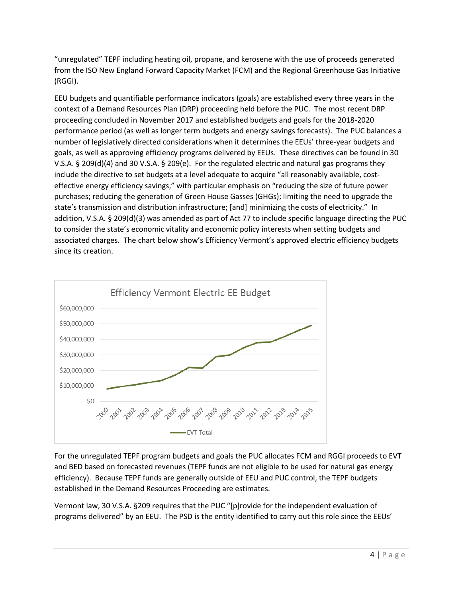"unregulated" TEPF including heating oil, propane, and kerosene with the use of proceeds generated from the ISO New England Forward Capacity Market (FCM) and the Regional Greenhouse Gas Initiative (RGGI).

EEU budgets and quantifiable performance indicators (goals) are established every three years in the context of a Demand Resources Plan (DRP) proceeding held before the PUC. The most recent DRP proceeding concluded in November 2017 and established budgets and goals for the 2018-2020 performance period (as well as longer term budgets and energy savings forecasts). The PUC balances a number of legislatively directed considerations when it determines the EEUs' three-year budgets and goals, as well as approving efficiency programs delivered by EEUs. These directives can be found in 30 V.S.A. § 209(d)(4) and 30 V.S.A. § 209(e). For the regulated electric and natural gas programs they include the directive to set budgets at a level adequate to acquire "all reasonably available, costeffective energy efficiency savings," with particular emphasis on "reducing the size of future power purchases; reducing the generation of Green House Gasses (GHGs); limiting the need to upgrade the state's transmission and distribution infrastructure; [and] minimizing the costs of electricity." In addition, V.S.A. § 209(d)(3) was amended as part of Act 77 to include specific language directing the PUC to consider the state's economic vitality and economic policy interests when setting budgets and associated charges. The chart below show's Efficiency Vermont's approved electric efficiency budgets since its creation.



For the unregulated TEPF program budgets and goals the PUC allocates FCM and RGGI proceeds to EVT and BED based on forecasted revenues (TEPF funds are not eligible to be used for natural gas energy efficiency). Because TEPF funds are generally outside of EEU and PUC control, the TEPF budgets established in the Demand Resources Proceeding are estimates.

Vermont law, 30 V.S.A. §209 requires that the PUC "[p]rovide for the independent evaluation of programs delivered" by an EEU. The PSD is the entity identified to carry out this role since the EEUs'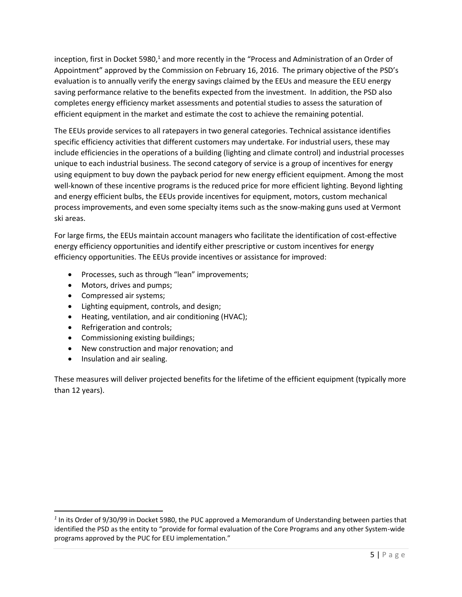inception, first in Docket 5980,<sup>1</sup> and more recently in the "Process and Administration of an Order of Appointment" approved by the Commission on February 16, 2016. The primary objective of the PSD's evaluation is to annually verify the energy savings claimed by the EEUs and measure the EEU energy saving performance relative to the benefits expected from the investment. In addition, the PSD also completes energy efficiency market assessments and potential studies to assess the saturation of efficient equipment in the market and estimate the cost to achieve the remaining potential.

The EEUs provide services to all ratepayers in two general categories. Technical assistance identifies specific efficiency activities that different customers may undertake. For industrial users, these may include efficiencies in the operations of a building (lighting and climate control) and industrial processes unique to each industrial business. The second category of service is a group of incentives for energy using equipment to buy down the payback period for new energy efficient equipment. Among the most well-known of these incentive programs is the reduced price for more efficient lighting. Beyond lighting and energy efficient bulbs, the EEUs provide incentives for equipment, motors, custom mechanical process improvements, and even some specialty items such as the snow-making guns used at Vermont ski areas.

For large firms, the EEUs maintain account managers who facilitate the identification of cost-effective energy efficiency opportunities and identify either prescriptive or custom incentives for energy efficiency opportunities. The EEUs provide incentives or assistance for improved:

- Processes, such as through "lean" improvements;
- Motors, drives and pumps;
- Compressed air systems;
- Lighting equipment, controls, and design;
- Heating, ventilation, and air conditioning (HVAC);
- Refrigeration and controls;
- Commissioning existing buildings;
- New construction and major renovation; and
- Insulation and air sealing.

 $\overline{\phantom{a}}$ 

These measures will deliver projected benefits for the lifetime of the efficient equipment (typically more than 12 years).

*<sup>1</sup>* In its Order of 9/30/99 in Docket 5980, the PUC approved a Memorandum of Understanding between parties that identified the PSD as the entity to "provide for formal evaluation of the Core Programs and any other System-wide programs approved by the PUC for EEU implementation."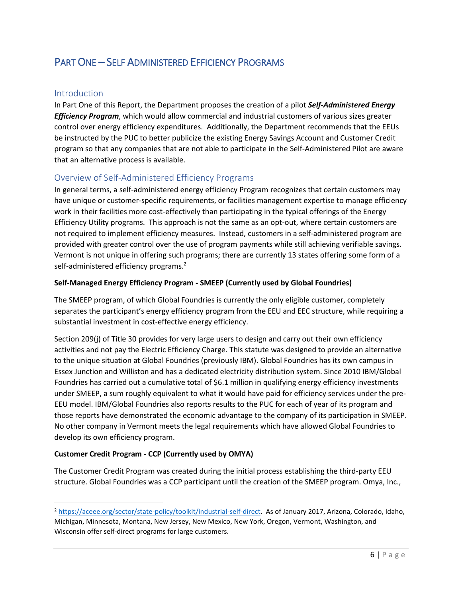# <span id="page-6-0"></span>PART ONE – SELF ADMINISTERED EFFICIENCY PROGRAMS

# <span id="page-6-1"></span>Introduction

 $\overline{\phantom{a}}$ 

In Part One of this Report, the Department proposes the creation of a pilot *Self-Administered Energy Efficiency Program*, which would allow commercial and industrial customers of various sizes greater control over energy efficiency expenditures. Additionally, the Department recommends that the EEUs be instructed by the PUC to better publicize the existing Energy Savings Account and Customer Credit program so that any companies that are not able to participate in the Self-Administered Pilot are aware that an alternative process is available.

# <span id="page-6-2"></span>Overview of Self-Administered Efficiency Programs

In general terms, a self-administered energy efficiency Program recognizes that certain customers may have unique or customer-specific requirements, or facilities management expertise to manage efficiency work in their facilities more cost-effectively than participating in the typical offerings of the Energy Efficiency Utility programs. This approach is not the same as an opt-out, where certain customers are not required to implement efficiency measures. Instead, customers in a self-administered program are provided with greater control over the use of program payments while still achieving verifiable savings. Vermont is not unique in offering such programs; there are currently 13 states offering some form of a self-administered efficiency programs.<sup>2</sup>

### **Self-Managed Energy Efficiency Program - SMEEP (Currently used by Global Foundries)**

The SMEEP program, of which Global Foundries is currently the only eligible customer, completely separates the participant's energy efficiency program from the EEU and EEC structure, while requiring a substantial investment in cost-effective energy efficiency.

Section 209(j) of Title 30 provides for very large users to design and carry out their own efficiency activities and not pay the Electric Efficiency Charge. This statute was designed to provide an alternative to the unique situation at Global Foundries (previously IBM). Global Foundries has its own campus in Essex Junction and Williston and has a dedicated electricity distribution system. Since 2010 IBM/Global Foundries has carried out a cumulative total of \$6.1 million in qualifying energy efficiency investments under SMEEP, a sum roughly equivalent to what it would have paid for efficiency services under the pre-EEU model. IBM/Global Foundries also reports results to the PUC for each of year of its program and those reports have demonstrated the economic advantage to the company of its participation in SMEEP. No other company in Vermont meets the legal requirements which have allowed Global Foundries to develop its own efficiency program.

# **Customer Credit Program - CCP (Currently used by OMYA)**

The Customer Credit Program was created during the initial process establishing the third-party EEU structure. Global Foundries was a CCP participant until the creation of the SMEEP program. Omya, Inc.,

<sup>2</sup> [https://aceee.org/sector/state-policy/toolkit/industrial-self-direct.](https://aceee.org/sector/state-policy/toolkit/industrial-self-direct) As of January 2017, Arizona, Colorado, Idaho, Michigan, Minnesota, Montana, New Jersey, New Mexico, New York, Oregon, Vermont, Washington, and Wisconsin offer self-direct programs for large customers.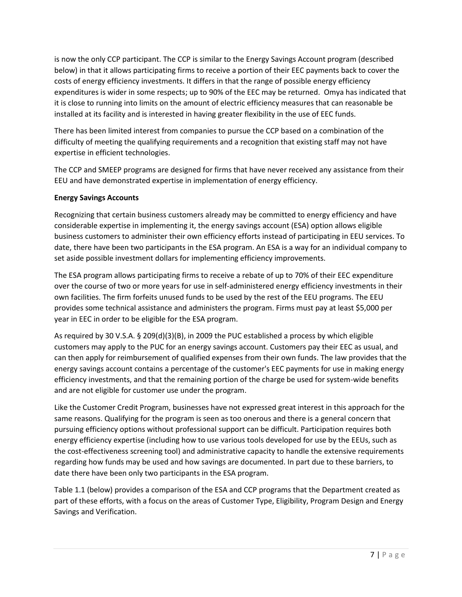is now the only CCP participant. The CCP is similar to the Energy Savings Account program (described below) in that it allows participating firms to receive a portion of their EEC payments back to cover the costs of energy efficiency investments. It differs in that the range of possible energy efficiency expenditures is wider in some respects; up to 90% of the EEC may be returned. Omya has indicated that it is close to running into limits on the amount of electric efficiency measures that can reasonable be installed at its facility and is interested in having greater flexibility in the use of EEC funds.

There has been limited interest from companies to pursue the CCP based on a combination of the difficulty of meeting the qualifying requirements and a recognition that existing staff may not have expertise in efficient technologies.

The CCP and SMEEP programs are designed for firms that have never received any assistance from their EEU and have demonstrated expertise in implementation of energy efficiency.

# **Energy Savings Accounts**

Recognizing that certain business customers already may be committed to energy efficiency and have considerable expertise in implementing it, the energy savings account (ESA) option allows eligible business customers to administer their own efficiency efforts instead of participating in EEU services. To date, there have been two participants in the ESA program. An ESA is a way for an individual company to set aside possible investment dollars for implementing efficiency improvements.

The ESA program allows participating firms to receive a rebate of up to 70% of their EEC expenditure over the course of two or more years for use in self-administered energy efficiency investments in their own facilities. The firm forfeits unused funds to be used by the rest of the EEU programs. The EEU provides some technical assistance and administers the program. Firms must pay at least \$5,000 per year in EEC in order to be eligible for the ESA program.

As required by 30 V.S.A. § 209(d)(3)(B), in 2009 the PUC established a process by which eligible customers may apply to the PUC for an energy savings account. Customers pay their EEC as usual, and can then apply for reimbursement of qualified expenses from their own funds. The law provides that the energy savings account contains a percentage of the customer's EEC payments for use in making energy efficiency investments, and that the remaining portion of the charge be used for system-wide benefits and are not eligible for customer use under the program.

Like the Customer Credit Program, businesses have not expressed great interest in this approach for the same reasons. Qualifying for the program is seen as too onerous and there is a general concern that pursuing efficiency options without professional support can be difficult. Participation requires both energy efficiency expertise (including how to use various tools developed for use by the EEUs, such as the cost-effectiveness screening tool) and administrative capacity to handle the extensive requirements regarding how funds may be used and how savings are documented. In part due to these barriers, to date there have been only two participants in the ESA program.

Table 1.1 (below) provides a comparison of the ESA and CCP programs that the Department created as part of these efforts, with a focus on the areas of Customer Type, Eligibility, Program Design and Energy Savings and Verification.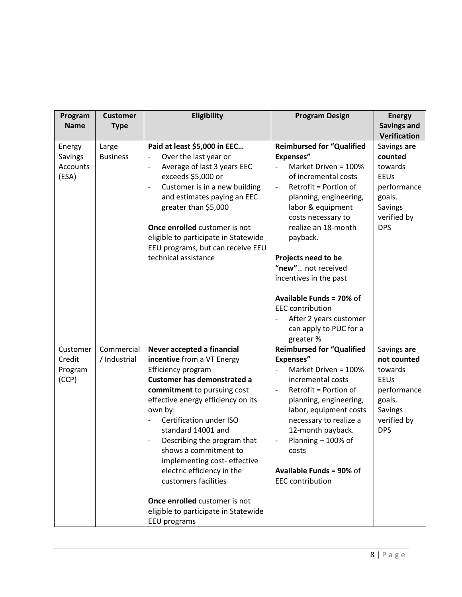| Program<br><b>Name</b>                 | <b>Customer</b><br><b>Type</b> | Eligibility                                                                                                                                                                                                                                                                                                                                                                                                                                                         | <b>Program Design</b>                                                                                                                                                                                                                                                                                                                                  | <b>Energy</b><br><b>Savings and</b>                                                                                                      |
|----------------------------------------|--------------------------------|---------------------------------------------------------------------------------------------------------------------------------------------------------------------------------------------------------------------------------------------------------------------------------------------------------------------------------------------------------------------------------------------------------------------------------------------------------------------|--------------------------------------------------------------------------------------------------------------------------------------------------------------------------------------------------------------------------------------------------------------------------------------------------------------------------------------------------------|------------------------------------------------------------------------------------------------------------------------------------------|
| Energy<br>Savings<br>Accounts<br>(ESA) | Large<br><b>Business</b>       | Paid at least \$5,000 in EEC<br>Over the last year or<br>Average of last 3 years EEC<br>$\qquad \qquad -$<br>exceeds \$5,000 or<br>Customer is in a new building<br>$\overline{\phantom{0}}$<br>and estimates paying an EEC<br>greater than \$5,000<br>Once enrolled customer is not<br>eligible to participate in Statewide<br>EEU programs, but can receive EEU<br>technical assistance                                                                           | <b>Reimbursed for "Qualified</b><br><b>Expenses"</b><br>Market Driven = 100%<br>of incremental costs<br>Retrofit = Portion of<br>$\overline{\phantom{a}}$<br>planning, engineering,<br>labor & equipment<br>costs necessary to<br>realize an 18-month<br>payback.<br>Projects need to be<br>"new" not received<br>incentives in the past               | <b>Verification</b><br>Savings are<br>counted<br>towards<br><b>EEUs</b><br>performance<br>goals.<br>Savings<br>verified by<br><b>DPS</b> |
|                                        |                                |                                                                                                                                                                                                                                                                                                                                                                                                                                                                     | <b>Available Funds = 70% of</b><br><b>EEC</b> contribution<br>After 2 years customer<br>can apply to PUC for a<br>greater %                                                                                                                                                                                                                            |                                                                                                                                          |
| Customer<br>Credit<br>Program<br>(CCP) | Commercial<br>/ Industrial     | Never accepted a financial<br>incentive from a VT Energy<br>Efficiency program<br><b>Customer has demonstrated a</b><br>commitment to pursuing cost<br>effective energy efficiency on its<br>own by:<br>Certification under ISO<br>$\qquad \qquad \blacksquare$<br>standard 14001 and<br>Describing the program that<br>shows a commitment to<br>implementing cost-effective<br>electric efficiency in the<br>customers facilities<br>Once enrolled customer is not | <b>Reimbursed for "Qualified</b><br><b>Expenses"</b><br>Market Driven = 100%<br>incremental costs<br>Retrofit = Portion of<br>$\overline{\phantom{a}}$<br>planning, engineering,<br>labor, equipment costs<br>necessary to realize a<br>12-month payback.<br>Planning - 100% of<br>costs<br><b>Available Funds = 90% of</b><br><b>EEC</b> contribution | Savings are<br>not counted<br>towards<br><b>EEUs</b><br>performance<br>goals.<br>Savings<br>verified by<br><b>DPS</b>                    |
|                                        |                                | eligible to participate in Statewide<br>EEU programs                                                                                                                                                                                                                                                                                                                                                                                                                |                                                                                                                                                                                                                                                                                                                                                        |                                                                                                                                          |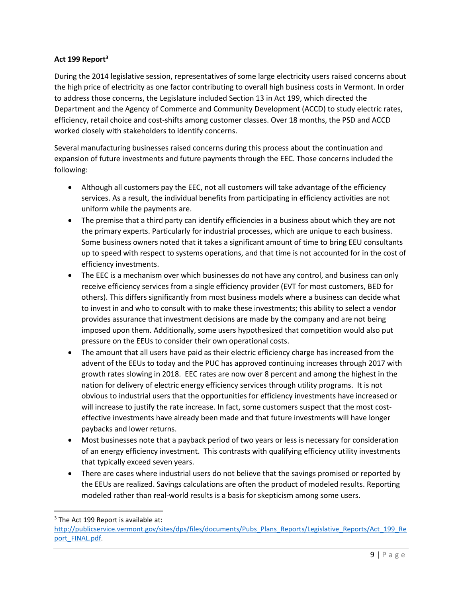# **Act 199 Report<sup>3</sup>**

During the 2014 legislative session, representatives of some large electricity users raised concerns about the high price of electricity as one factor contributing to overall high business costs in Vermont. In order to address those concerns, the Legislature included Section 13 in Act 199, which directed the Department and the Agency of Commerce and Community Development (ACCD) to study electric rates, efficiency, retail choice and cost-shifts among customer classes. Over 18 months, the PSD and ACCD worked closely with stakeholders to identify concerns.

Several manufacturing businesses raised concerns during this process about the continuation and expansion of future investments and future payments through the EEC. Those concerns included the following:

- Although all customers pay the EEC, not all customers will take advantage of the efficiency services. As a result, the individual benefits from participating in efficiency activities are not uniform while the payments are.
- The premise that a third party can identify efficiencies in a business about which they are not the primary experts. Particularly for industrial processes, which are unique to each business. Some business owners noted that it takes a significant amount of time to bring EEU consultants up to speed with respect to systems operations, and that time is not accounted for in the cost of efficiency investments.
- The EEC is a mechanism over which businesses do not have any control, and business can only receive efficiency services from a single efficiency provider (EVT for most customers, BED for others). This differs significantly from most business models where a business can decide what to invest in and who to consult with to make these investments; this ability to select a vendor provides assurance that investment decisions are made by the company and are not being imposed upon them. Additionally, some users hypothesized that competition would also put pressure on the EEUs to consider their own operational costs.
- The amount that all users have paid as their electric efficiency charge has increased from the advent of the EEUs to today and the PUC has approved continuing increases through 2017 with growth rates slowing in 2018. EEC rates are now over 8 percent and among the highest in the nation for delivery of electric energy efficiency services through utility programs. It is not obvious to industrial users that the opportunities for efficiency investments have increased or will increase to justify the rate increase. In fact, some customers suspect that the most costeffective investments have already been made and that future investments will have longer paybacks and lower returns.
- Most businesses note that a payback period of two years or less is necessary for consideration of an energy efficiency investment. This contrasts with qualifying efficiency utility investments that typically exceed seven years.
- There are cases where industrial users do not believe that the savings promised or reported by the EEUs are realized. Savings calculations are often the product of modeled results. Reporting modeled rather than real-world results is a basis for skepticism among some users.

 $\overline{\phantom{a}}$ <sup>3</sup> The Act 199 Report is available at:

[http://publicservice.vermont.gov/sites/dps/files/documents/Pubs\\_Plans\\_Reports/Legislative\\_Reports/Act\\_199\\_Re](http://publicservice.vermont.gov/sites/dps/files/documents/Pubs_Plans_Reports/Legislative_Reports/Act_199_Report_FINAL.pdf) [port\\_FINAL.pdf.](http://publicservice.vermont.gov/sites/dps/files/documents/Pubs_Plans_Reports/Legislative_Reports/Act_199_Report_FINAL.pdf)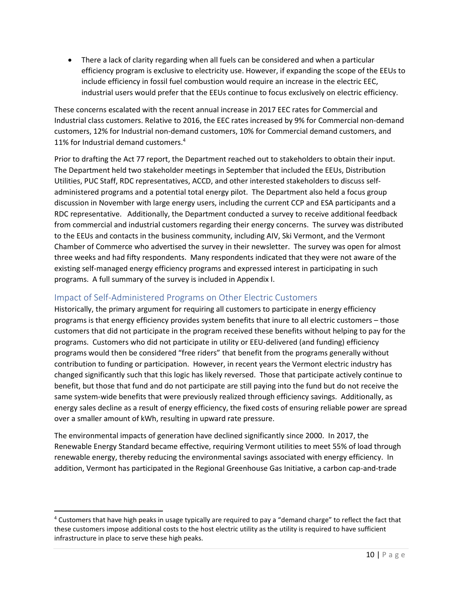There a lack of clarity regarding when all fuels can be considered and when a particular efficiency program is exclusive to electricity use. However, if expanding the scope of the EEUs to include efficiency in fossil fuel combustion would require an increase in the electric EEC, industrial users would prefer that the EEUs continue to focus exclusively on electric efficiency.

These concerns escalated with the recent annual increase in 2017 EEC rates for Commercial and Industrial class customers. Relative to 2016, the EEC rates increased by 9% for Commercial non-demand customers, 12% for Industrial non-demand customers, 10% for Commercial demand customers, and 11% for Industrial demand customers.<sup>4</sup>

Prior to drafting the Act 77 report, the Department reached out to stakeholders to obtain their input. The Department held two stakeholder meetings in September that included the EEUs, Distribution Utilities, PUC Staff, RDC representatives, ACCD, and other interested stakeholders to discuss selfadministered programs and a potential total energy pilot. The Department also held a focus group discussion in November with large energy users, including the current CCP and ESA participants and a RDC representative. Additionally, the Department conducted a survey to receive additional feedback from commercial and industrial customers regarding their energy concerns. The survey was distributed to the EEUs and contacts in the business community, including AIV, Ski Vermont, and the Vermont Chamber of Commerce who advertised the survey in their newsletter. The survey was open for almost three weeks and had fifty respondents. Many respondents indicated that they were not aware of the existing self-managed energy efficiency programs and expressed interest in participating in such programs. A full summary of the survey is included in Appendix I.

# <span id="page-10-0"></span>Impact of Self-Administered Programs on Other Electric Customers

 $\overline{\phantom{a}}$ 

Historically, the primary argument for requiring all customers to participate in energy efficiency programs is that energy efficiency provides system benefits that inure to all electric customers – those customers that did not participate in the program received these benefits without helping to pay for the programs. Customers who did not participate in utility or EEU-delivered (and funding) efficiency programs would then be considered "free riders" that benefit from the programs generally without contribution to funding or participation. However, in recent years the Vermont electric industry has changed significantly such that this logic has likely reversed. Those that participate actively continue to benefit, but those that fund and do not participate are still paying into the fund but do not receive the same system-wide benefits that were previously realized through efficiency savings. Additionally, as energy sales decline as a result of energy efficiency, the fixed costs of ensuring reliable power are spread over a smaller amount of kWh, resulting in upward rate pressure.

The environmental impacts of generation have declined significantly since 2000. In 2017, the Renewable Energy Standard became effective, requiring Vermont utilities to meet 55% of load through renewable energy, thereby reducing the environmental savings associated with energy efficiency. In addition, Vermont has participated in the Regional Greenhouse Gas Initiative, a carbon cap-and-trade

<sup>&</sup>lt;sup>4</sup> Customers that have high peaks in usage typically are required to pay a "demand charge" to reflect the fact that these customers impose additional costs to the host electric utility as the utility is required to have sufficient infrastructure in place to serve these high peaks.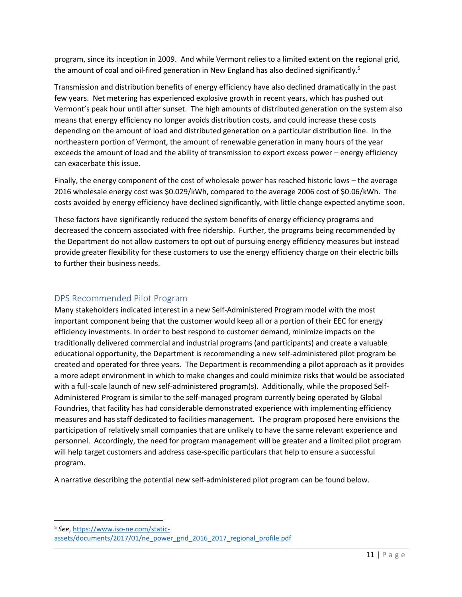program, since its inception in 2009. And while Vermont relies to a limited extent on the regional grid, the amount of coal and oil-fired generation in New England has also declined significantly.<sup>5</sup>

Transmission and distribution benefits of energy efficiency have also declined dramatically in the past few years. Net metering has experienced explosive growth in recent years, which has pushed out Vermont's peak hour until after sunset. The high amounts of distributed generation on the system also means that energy efficiency no longer avoids distribution costs, and could increase these costs depending on the amount of load and distributed generation on a particular distribution line. In the northeastern portion of Vermont, the amount of renewable generation in many hours of the year exceeds the amount of load and the ability of transmission to export excess power – energy efficiency can exacerbate this issue.

Finally, the energy component of the cost of wholesale power has reached historic lows – the average 2016 wholesale energy cost was \$0.029/kWh, compared to the average 2006 cost of \$0.06/kWh. The costs avoided by energy efficiency have declined significantly, with little change expected anytime soon.

These factors have significantly reduced the system benefits of energy efficiency programs and decreased the concern associated with free ridership. Further, the programs being recommended by the Department do not allow customers to opt out of pursuing energy efficiency measures but instead provide greater flexibility for these customers to use the energy efficiency charge on their electric bills to further their business needs.

# <span id="page-11-0"></span>DPS Recommended Pilot Program

l

Many stakeholders indicated interest in a new Self-Administered Program model with the most important component being that the customer would keep all or a portion of their EEC for energy efficiency investments. In order to best respond to customer demand, minimize impacts on the traditionally delivered commercial and industrial programs (and participants) and create a valuable educational opportunity, the Department is recommending a new self-administered pilot program be created and operated for three years. The Department is recommending a pilot approach as it provides a more adept environment in which to make changes and could minimize risks that would be associated with a full-scale launch of new self-administered program(s). Additionally, while the proposed Self-Administered Program is similar to the self-managed program currently being operated by Global Foundries, that facility has had considerable demonstrated experience with implementing efficiency measures and has staff dedicated to facilities management. The program proposed here envisions the participation of relatively small companies that are unlikely to have the same relevant experience and personnel. Accordingly, the need for program management will be greater and a limited pilot program will help target customers and address case-specific particulars that help to ensure a successful program.

A narrative describing the potential new self-administered pilot program can be found below.

5 *See*[, https://www.iso-ne.com/static](https://www.iso-ne.com/static-assets/documents/2017/01/ne_power_grid_2016_2017_regional_profile.pdf)[assets/documents/2017/01/ne\\_power\\_grid\\_2016\\_2017\\_regional\\_profile.pdf](https://www.iso-ne.com/static-assets/documents/2017/01/ne_power_grid_2016_2017_regional_profile.pdf)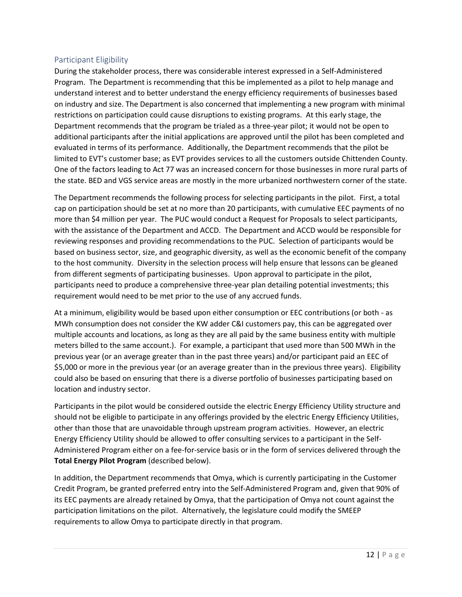# <span id="page-12-0"></span>Participant Eligibility

During the stakeholder process, there was considerable interest expressed in a Self-Administered Program. The Department is recommending that this be implemented as a pilot to help manage and understand interest and to better understand the energy efficiency requirements of businesses based on industry and size. The Department is also concerned that implementing a new program with minimal restrictions on participation could cause disruptions to existing programs. At this early stage, the Department recommends that the program be trialed as a three-year pilot; it would not be open to additional participants after the initial applications are approved until the pilot has been completed and evaluated in terms of its performance. Additionally, the Department recommends that the pilot be limited to EVT's customer base; as EVT provides services to all the customers outside Chittenden County. One of the factors leading to Act 77 was an increased concern for those businesses in more rural parts of the state. BED and VGS service areas are mostly in the more urbanized northwestern corner of the state.

The Department recommends the following process for selecting participants in the pilot. First, a total cap on participation should be set at no more than 20 participants, with cumulative EEC payments of no more than \$4 million per year. The PUC would conduct a Request for Proposals to select participants, with the assistance of the Department and ACCD. The Department and ACCD would be responsible for reviewing responses and providing recommendations to the PUC. Selection of participants would be based on business sector, size, and geographic diversity, as well as the economic benefit of the company to the host community. Diversity in the selection process will help ensure that lessons can be gleaned from different segments of participating businesses. Upon approval to participate in the pilot, participants need to produce a comprehensive three-year plan detailing potential investments; this requirement would need to be met prior to the use of any accrued funds.

At a minimum, eligibility would be based upon either consumption or EEC contributions (or both - as MWh consumption does not consider the KW adder C&I customers pay, this can be aggregated over multiple accounts and locations, as long as they are all paid by the same business entity with multiple meters billed to the same account.). For example, a participant that used more than 500 MWh in the previous year (or an average greater than in the past three years) and/or participant paid an EEC of \$5,000 or more in the previous year (or an average greater than in the previous three years). Eligibility could also be based on ensuring that there is a diverse portfolio of businesses participating based on location and industry sector.

Participants in the pilot would be considered outside the electric Energy Efficiency Utility structure and should not be eligible to participate in any offerings provided by the electric Energy Efficiency Utilities, other than those that are unavoidable through upstream program activities. However, an electric Energy Efficiency Utility should be allowed to offer consulting services to a participant in the Self-Administered Program either on a fee-for-service basis or in the form of services delivered through the **Total Energy Pilot Program** (described below).

In addition, the Department recommends that Omya, which is currently participating in the Customer Credit Program, be granted preferred entry into the Self-Administered Program and, given that 90% of its EEC payments are already retained by Omya, that the participation of Omya not count against the participation limitations on the pilot. Alternatively, the legislature could modify the SMEEP requirements to allow Omya to participate directly in that program.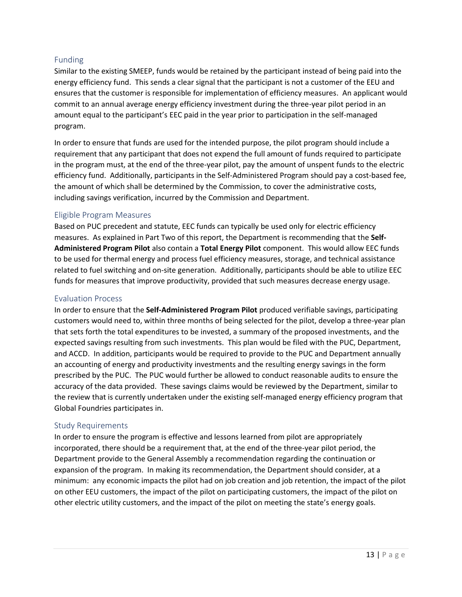# <span id="page-13-0"></span>Funding

Similar to the existing SMEEP, funds would be retained by the participant instead of being paid into the energy efficiency fund. This sends a clear signal that the participant is not a customer of the EEU and ensures that the customer is responsible for implementation of efficiency measures. An applicant would commit to an annual average energy efficiency investment during the three-year pilot period in an amount equal to the participant's EEC paid in the year prior to participation in the self-managed program.

In order to ensure that funds are used for the intended purpose, the pilot program should include a requirement that any participant that does not expend the full amount of funds required to participate in the program must, at the end of the three-year pilot, pay the amount of unspent funds to the electric efficiency fund. Additionally, participants in the Self-Administered Program should pay a cost-based fee, the amount of which shall be determined by the Commission, to cover the administrative costs, including savings verification, incurred by the Commission and Department.

### <span id="page-13-1"></span>Eligible Program Measures

Based on PUC precedent and statute, EEC funds can typically be used only for electric efficiency measures. As explained in Part Two of this report, the Department is recommending that the **Self-Administered Program Pilot** also contain a **Total Energy Pilot** component. This would allow EEC funds to be used for thermal energy and process fuel efficiency measures, storage, and technical assistance related to fuel switching and on-site generation. Additionally, participants should be able to utilize EEC funds for measures that improve productivity, provided that such measures decrease energy usage.

### <span id="page-13-2"></span>Evaluation Process

In order to ensure that the **Self-Administered Program Pilot** produced verifiable savings, participating customers would need to, within three months of being selected for the pilot, develop a three-year plan that sets forth the total expenditures to be invested, a summary of the proposed investments, and the expected savings resulting from such investments. This plan would be filed with the PUC, Department, and ACCD. In addition, participants would be required to provide to the PUC and Department annually an accounting of energy and productivity investments and the resulting energy savings in the form prescribed by the PUC. The PUC would further be allowed to conduct reasonable audits to ensure the accuracy of the data provided. These savings claims would be reviewed by the Department, similar to the review that is currently undertaken under the existing self-managed energy efficiency program that Global Foundries participates in.

# <span id="page-13-3"></span>Study Requirements

In order to ensure the program is effective and lessons learned from pilot are appropriately incorporated, there should be a requirement that, at the end of the three-year pilot period, the Department provide to the General Assembly a recommendation regarding the continuation or expansion of the program. In making its recommendation, the Department should consider, at a minimum: any economic impacts the pilot had on job creation and job retention, the impact of the pilot on other EEU customers, the impact of the pilot on participating customers, the impact of the pilot on other electric utility customers, and the impact of the pilot on meeting the state's energy goals.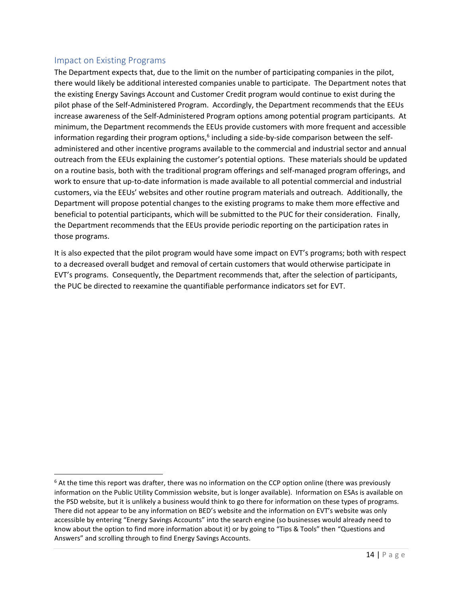# <span id="page-14-0"></span>Impact on Existing Programs

 $\overline{\phantom{a}}$ 

The Department expects that, due to the limit on the number of participating companies in the pilot, there would likely be additional interested companies unable to participate. The Department notes that the existing Energy Savings Account and Customer Credit program would continue to exist during the pilot phase of the Self-Administered Program. Accordingly, the Department recommends that the EEUs increase awareness of the Self-Administered Program options among potential program participants. At minimum, the Department recommends the EEUs provide customers with more frequent and accessible information regarding their program options,<sup>6</sup> including a side-by-side comparison between the selfadministered and other incentive programs available to the commercial and industrial sector and annual outreach from the EEUs explaining the customer's potential options. These materials should be updated on a routine basis, both with the traditional program offerings and self-managed program offerings, and work to ensure that up-to-date information is made available to all potential commercial and industrial customers, via the EEUs' websites and other routine program materials and outreach. Additionally, the Department will propose potential changes to the existing programs to make them more effective and beneficial to potential participants, which will be submitted to the PUC for their consideration. Finally, the Department recommends that the EEUs provide periodic reporting on the participation rates in those programs.

It is also expected that the pilot program would have some impact on EVT's programs; both with respect to a decreased overall budget and removal of certain customers that would otherwise participate in EVT's programs. Consequently, the Department recommends that, after the selection of participants, the PUC be directed to reexamine the quantifiable performance indicators set for EVT.

 $6$  At the time this report was drafter, there was no information on the CCP option online (there was previously information on the Public Utility Commission website, but is longer available). Information on ESAs is available on the PSD website, but it is unlikely a business would think to go there for information on these types of programs. There did not appear to be any information on BED's website and the information on EVT's website was only accessible by entering "Energy Savings Accounts" into the search engine (so businesses would already need to know about the option to find more information about it) or by going to "Tips & Tools" then "Questions and Answers" and scrolling through to find Energy Savings Accounts.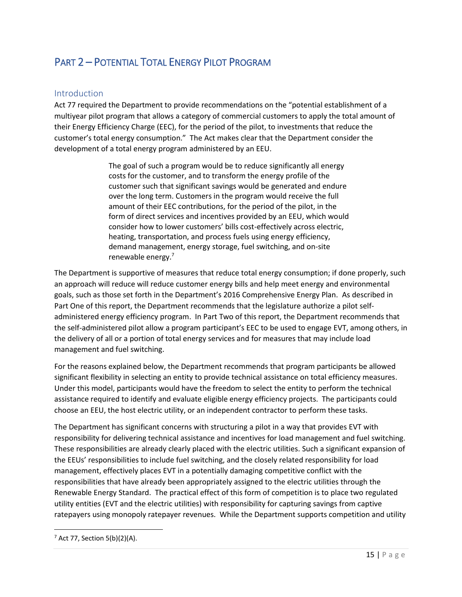# <span id="page-15-0"></span>PART 2 – POTENTIAL TOTAL ENERGY PILOT PROGRAM

# <span id="page-15-1"></span>Introduction

Act 77 required the Department to provide recommendations on the "potential establishment of a multiyear pilot program that allows a category of commercial customers to apply the total amount of their Energy Efficiency Charge (EEC), for the period of the pilot, to investments that reduce the customer's total energy consumption." The Act makes clear that the Department consider the development of a total energy program administered by an EEU.

> The goal of such a program would be to reduce significantly all energy costs for the customer, and to transform the energy profile of the customer such that significant savings would be generated and endure over the long term. Customers in the program would receive the full amount of their EEC contributions, for the period of the pilot, in the form of direct services and incentives provided by an EEU, which would consider how to lower customers' bills cost-effectively across electric, heating, transportation, and process fuels using energy efficiency, demand management, energy storage, fuel switching, and on-site renewable energy.<sup>7</sup>

The Department is supportive of measures that reduce total energy consumption; if done properly, such an approach will reduce will reduce customer energy bills and help meet energy and environmental goals, such as those set forth in the Department's 2016 Comprehensive Energy Plan. As described in Part One of this report, the Department recommends that the legislature authorize a pilot selfadministered energy efficiency program. In Part Two of this report, the Department recommends that the self-administered pilot allow a program participant's EEC to be used to engage EVT, among others, in the delivery of all or a portion of total energy services and for measures that may include load management and fuel switching.

For the reasons explained below, the Department recommends that program participants be allowed significant flexibility in selecting an entity to provide technical assistance on total efficiency measures. Under this model, participants would have the freedom to select the entity to perform the technical assistance required to identify and evaluate eligible energy efficiency projects. The participants could choose an EEU, the host electric utility, or an independent contractor to perform these tasks.

The Department has significant concerns with structuring a pilot in a way that provides EVT with responsibility for delivering technical assistance and incentives for load management and fuel switching. These responsibilities are already clearly placed with the electric utilities. Such a significant expansion of the EEUs' responsibilities to include fuel switching, and the closely related responsibility for load management, effectively places EVT in a potentially damaging competitive conflict with the responsibilities that have already been appropriately assigned to the electric utilities through the Renewable Energy Standard. The practical effect of this form of competition is to place two regulated utility entities (EVT and the electric utilities) with responsibility for capturing savings from captive ratepayers using monopoly ratepayer revenues. While the Department supports competition and utility

 $\overline{\phantom{a}}$ 

 $7$  Act 77, Section 5(b)(2)(A).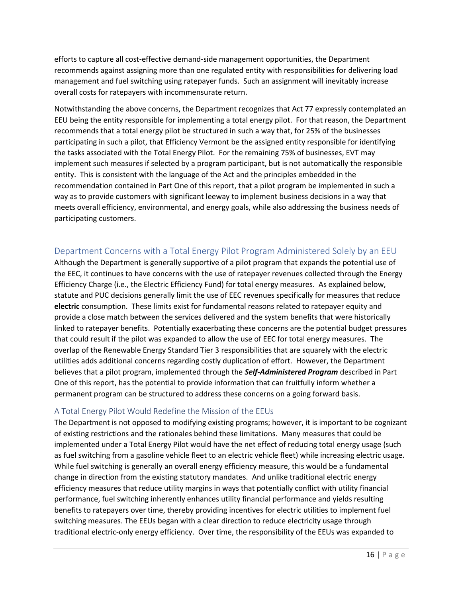efforts to capture all cost-effective demand-side management opportunities, the Department recommends against assigning more than one regulated entity with responsibilities for delivering load management and fuel switching using ratepayer funds. Such an assignment will inevitably increase overall costs for ratepayers with incommensurate return.

Notwithstanding the above concerns, the Department recognizes that Act 77 expressly contemplated an EEU being the entity responsible for implementing a total energy pilot. For that reason, the Department recommends that a total energy pilot be structured in such a way that, for 25% of the businesses participating in such a pilot, that Efficiency Vermont be the assigned entity responsible for identifying the tasks associated with the Total Energy Pilot. For the remaining 75% of businesses, EVT may implement such measures if selected by a program participant, but is not automatically the responsible entity. This is consistent with the language of the Act and the principles embedded in the recommendation contained in Part One of this report, that a pilot program be implemented in such a way as to provide customers with significant leeway to implement business decisions in a way that meets overall efficiency, environmental, and energy goals, while also addressing the business needs of participating customers.

# <span id="page-16-0"></span>Department Concerns with a Total Energy Pilot Program Administered Solely by an EEU

Although the Department is generally supportive of a pilot program that expands the potential use of the EEC, it continues to have concerns with the use of ratepayer revenues collected through the Energy Efficiency Charge (i.e., the Electric Efficiency Fund) for total energy measures. As explained below, statute and PUC decisions generally limit the use of EEC revenues specifically for measures that reduce **electric** consumption. These limits exist for fundamental reasons related to ratepayer equity and provide a close match between the services delivered and the system benefits that were historically linked to ratepayer benefits. Potentially exacerbating these concerns are the potential budget pressures that could result if the pilot was expanded to allow the use of EEC for total energy measures. The overlap of the Renewable Energy Standard Tier 3 responsibilities that are squarely with the electric utilities adds additional concerns regarding costly duplication of effort. However, the Department believes that a pilot program, implemented through the *Self-Administered Program* described in Part One of this report, has the potential to provide information that can fruitfully inform whether a permanent program can be structured to address these concerns on a going forward basis.

# <span id="page-16-1"></span>A Total Energy Pilot Would Redefine the Mission of the EEUs

The Department is not opposed to modifying existing programs; however, it is important to be cognizant of existing restrictions and the rationales behind these limitations. Many measures that could be implemented under a Total Energy Pilot would have the net effect of reducing total energy usage (such as fuel switching from a gasoline vehicle fleet to an electric vehicle fleet) while increasing electric usage. While fuel switching is generally an overall energy efficiency measure, this would be a fundamental change in direction from the existing statutory mandates. And unlike traditional electric energy efficiency measures that reduce utility margins in ways that potentially conflict with utility financial performance, fuel switching inherently enhances utility financial performance and yields resulting benefits to ratepayers over time, thereby providing incentives for electric utilities to implement fuel switching measures. The EEUs began with a clear direction to reduce electricity usage through traditional electric-only energy efficiency. Over time, the responsibility of the EEUs was expanded to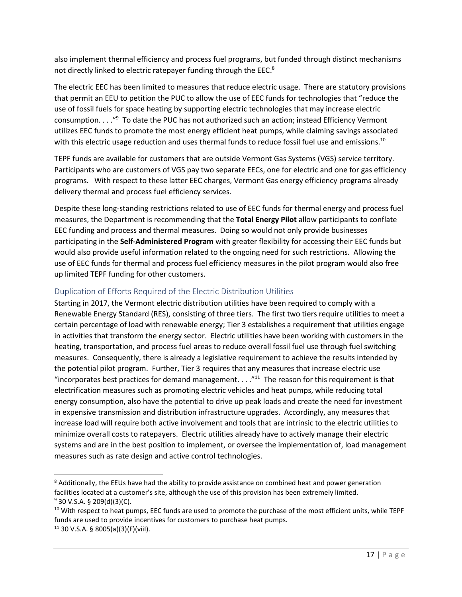also implement thermal efficiency and process fuel programs, but funded through distinct mechanisms not directly linked to electric ratepayer funding through the EEC.<sup>8</sup>

The electric EEC has been limited to measures that reduce electric usage. There are statutory provisions that permit an EEU to petition the PUC to allow the use of EEC funds for technologies that "reduce the use of fossil fuels for space heating by supporting electric technologies that may increase electric consumption. . . ."<sup>9</sup> To date the PUC has not authorized such an action; instead Efficiency Vermont utilizes EEC funds to promote the most energy efficient heat pumps, while claiming savings associated with this electric usage reduction and uses thermal funds to reduce fossil fuel use and emissions.<sup>10</sup>

TEPF funds are available for customers that are outside Vermont Gas Systems (VGS) service territory. Participants who are customers of VGS pay two separate EECs, one for electric and one for gas efficiency programs. With respect to these latter EEC charges, Vermont Gas energy efficiency programs already delivery thermal and process fuel efficiency services.

Despite these long-standing restrictions related to use of EEC funds for thermal energy and process fuel measures, the Department is recommending that the **Total Energy Pilot** allow participants to conflate EEC funding and process and thermal measures. Doing so would not only provide businesses participating in the **Self-Administered Program** with greater flexibility for accessing their EEC funds but would also provide useful information related to the ongoing need for such restrictions. Allowing the use of EEC funds for thermal and process fuel efficiency measures in the pilot program would also free up limited TEPF funding for other customers.

# <span id="page-17-0"></span>Duplication of Efforts Required of the Electric Distribution Utilities

 $\overline{\phantom{a}}$ 

Starting in 2017, the Vermont electric distribution utilities have been required to comply with a Renewable Energy Standard (RES), consisting of three tiers. The first two tiers require utilities to meet a certain percentage of load with renewable energy; Tier 3 establishes a requirement that utilities engage in activities that transform the energy sector. Electric utilities have been working with customers in the heating, transportation, and process fuel areas to reduce overall fossil fuel use through fuel switching measures. Consequently, there is already a legislative requirement to achieve the results intended by the potential pilot program. Further, Tier 3 requires that any measures that increase electric use "incorporates best practices for demand management.  $\dots$ "<sup>11</sup> The reason for this requirement is that electrification measures such as promoting electric vehicles and heat pumps, while reducing total energy consumption, also have the potential to drive up peak loads and create the need for investment in expensive transmission and distribution infrastructure upgrades. Accordingly, any measures that increase load will require both active involvement and tools that are intrinsic to the electric utilities to minimize overall costs to ratepayers. Electric utilities already have to actively manage their electric systems and are in the best position to implement, or oversee the implementation of, load management measures such as rate design and active control technologies.

<sup>&</sup>lt;sup>8</sup> Additionally, the EEUs have had the ability to provide assistance on combined heat and power generation facilities located at a customer's site, although the use of this provision has been extremely limited.  $9$  30 V.S.A. § 209(d)(3)(C).

<sup>&</sup>lt;sup>10</sup> With respect to heat pumps, EEC funds are used to promote the purchase of the most efficient units, while TEPF funds are used to provide incentives for customers to purchase heat pumps.  $11$  30 V.S.A. § 8005(a)(3)(F)(viil).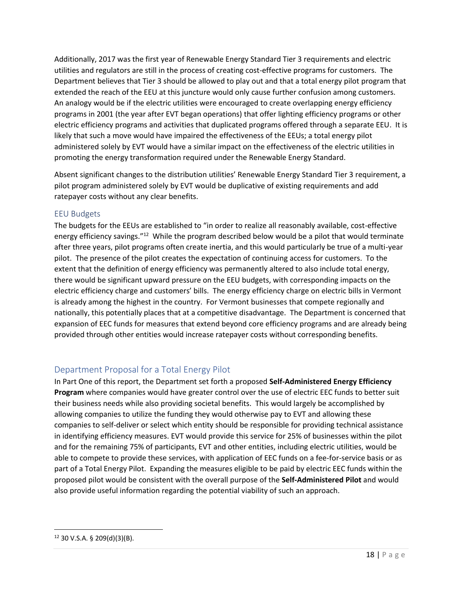Additionally, 2017 was the first year of Renewable Energy Standard Tier 3 requirements and electric utilities and regulators are still in the process of creating cost-effective programs for customers. The Department believes that Tier 3 should be allowed to play out and that a total energy pilot program that extended the reach of the EEU at this juncture would only cause further confusion among customers. An analogy would be if the electric utilities were encouraged to create overlapping energy efficiency programs in 2001 (the year after EVT began operations) that offer lighting efficiency programs or other electric efficiency programs and activities that duplicated programs offered through a separate EEU. It is likely that such a move would have impaired the effectiveness of the EEUs; a total energy pilot administered solely by EVT would have a similar impact on the effectiveness of the electric utilities in promoting the energy transformation required under the Renewable Energy Standard.

Absent significant changes to the distribution utilities' Renewable Energy Standard Tier 3 requirement, a pilot program administered solely by EVT would be duplicative of existing requirements and add ratepayer costs without any clear benefits.

# <span id="page-18-0"></span>EEU Budgets

The budgets for the EEUs are established to "in order to realize all reasonably available, cost-effective energy efficiency savings."<sup>12</sup> While the program described below would be a pilot that would terminate after three years, pilot programs often create inertia, and this would particularly be true of a multi-year pilot. The presence of the pilot creates the expectation of continuing access for customers. To the extent that the definition of energy efficiency was permanently altered to also include total energy, there would be significant upward pressure on the EEU budgets, with corresponding impacts on the electric efficiency charge and customers' bills. The energy efficiency charge on electric bills in Vermont is already among the highest in the country. For Vermont businesses that compete regionally and nationally, this potentially places that at a competitive disadvantage. The Department is concerned that expansion of EEC funds for measures that extend beyond core efficiency programs and are already being provided through other entities would increase ratepayer costs without corresponding benefits.

# <span id="page-18-1"></span>Department Proposal for a Total Energy Pilot

In Part One of this report, the Department set forth a proposed **Self-Administered Energy Efficiency Program** where companies would have greater control over the use of electric EEC funds to better suit their business needs while also providing societal benefits. This would largely be accomplished by allowing companies to utilize the funding they would otherwise pay to EVT and allowing these companies to self-deliver or select which entity should be responsible for providing technical assistance in identifying efficiency measures. EVT would provide this service for 25% of businesses within the pilot and for the remaining 75% of participants, EVT and other entities, including electric utilities, would be able to compete to provide these services, with application of EEC funds on a fee-for-service basis or as part of a Total Energy Pilot. Expanding the measures eligible to be paid by electric EEC funds within the proposed pilot would be consistent with the overall purpose of the **Self-Administered Pilot** and would also provide useful information regarding the potential viability of such an approach.

 $\overline{\phantom{a}}$ 

 $12$  30 V.S.A. § 209(d)(3)(B).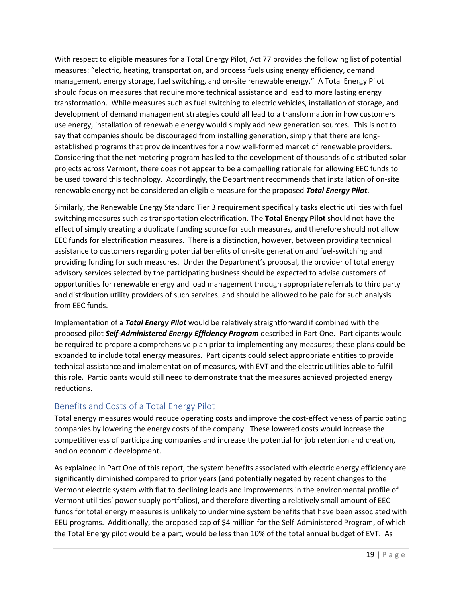With respect to eligible measures for a Total Energy Pilot, Act 77 provides the following list of potential measures: "electric, heating, transportation, and process fuels using energy efficiency, demand management, energy storage, fuel switching, and on-site renewable energy." A Total Energy Pilot should focus on measures that require more technical assistance and lead to more lasting energy transformation. While measures such as fuel switching to electric vehicles, installation of storage, and development of demand management strategies could all lead to a transformation in how customers use energy, installation of renewable energy would simply add new generation sources. This is not to say that companies should be discouraged from installing generation, simply that there are longestablished programs that provide incentives for a now well-formed market of renewable providers. Considering that the net metering program has led to the development of thousands of distributed solar projects across Vermont, there does not appear to be a compelling rationale for allowing EEC funds to be used toward this technology. Accordingly, the Department recommends that installation of on-site renewable energy not be considered an eligible measure for the proposed *Total Energy Pilot*.

Similarly, the Renewable Energy Standard Tier 3 requirement specifically tasks electric utilities with fuel switching measures such as transportation electrification. The **Total Energy Pilot** should not have the effect of simply creating a duplicate funding source for such measures, and therefore should not allow EEC funds for electrification measures. There is a distinction, however, between providing technical assistance to customers regarding potential benefits of on-site generation and fuel-switching and providing funding for such measures. Under the Department's proposal, the provider of total energy advisory services selected by the participating business should be expected to advise customers of opportunities for renewable energy and load management through appropriate referrals to third party and distribution utility providers of such services, and should be allowed to be paid for such analysis from EEC funds.

Implementation of a *Total Energy Pilot* would be relatively straightforward if combined with the proposed pilot *Self-Administered Energy Efficiency Program* described in Part One. Participants would be required to prepare a comprehensive plan prior to implementing any measures; these plans could be expanded to include total energy measures. Participants could select appropriate entities to provide technical assistance and implementation of measures, with EVT and the electric utilities able to fulfill this role. Participants would still need to demonstrate that the measures achieved projected energy reductions.

# <span id="page-19-0"></span>Benefits and Costs of a Total Energy Pilot

Total energy measures would reduce operating costs and improve the cost-effectiveness of participating companies by lowering the energy costs of the company. These lowered costs would increase the competitiveness of participating companies and increase the potential for job retention and creation, and on economic development.

As explained in Part One of this report, the system benefits associated with electric energy efficiency are significantly diminished compared to prior years (and potentially negated by recent changes to the Vermont electric system with flat to declining loads and improvements in the environmental profile of Vermont utilities' power supply portfolios), and therefore diverting a relatively small amount of EEC funds for total energy measures is unlikely to undermine system benefits that have been associated with EEU programs. Additionally, the proposed cap of \$4 million for the Self-Administered Program, of which the Total Energy pilot would be a part, would be less than 10% of the total annual budget of EVT. As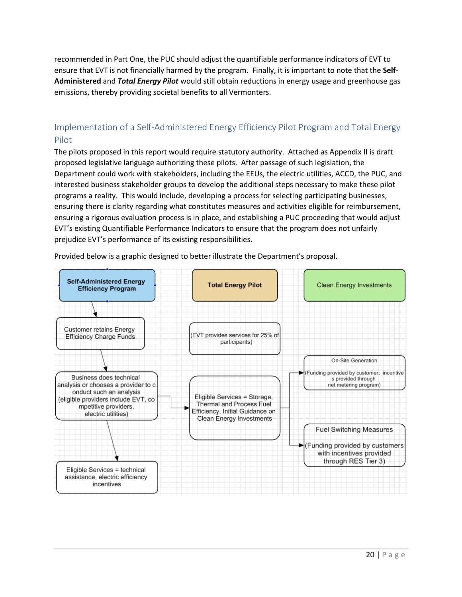recommended in Part One, the PUC should adjust the quantifiable performance indicators of EVT to ensure that EVT is not financially harmed by the program. Finally, it is important to note that the **Self-Administered** and *Total Energy Pilot* would still obtain reductions in energy usage and greenhouse gas emissions, thereby providing societal benefits to all Vermonters.

# <span id="page-20-0"></span>Implementation of a Self-Administered Energy Efficiency Pilot Program and Total Energy Pilot

The pilots proposed in this report would require statutory authority. Attached as Appendix II is draft proposed legislative language authorizing these pilots. After passage of such legislation, the Department could work with stakeholders, including the EEUs, the electric utilities, ACCD, the PUC, and interested business stakeholder groups to develop the additional steps necessary to make these pilot programs a reality. This would include, developing a process for selecting participating businesses, ensuring there is clarity regarding what constitutes measures and activities eligible for reimbursement, ensuring a rigorous evaluation process is in place, and establishing a PUC proceeding that would adjust EVT's existing Quantifiable Performance Indicators to ensure that the program does not unfairly prejudice EVT's performance of its existing responsibilities.



Provided below is a graphic designed to better illustrate the Department's proposal.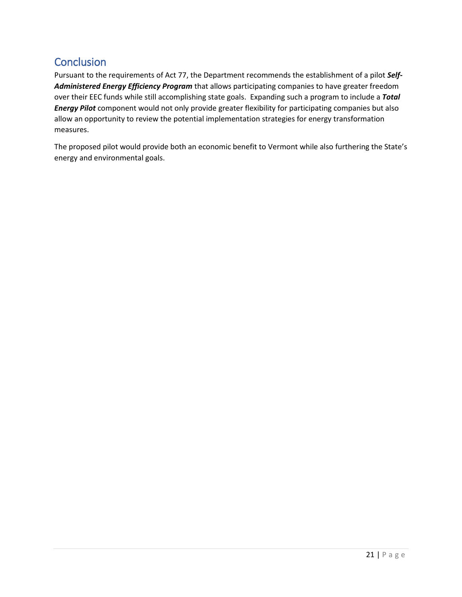# <span id="page-21-0"></span>**Conclusion**

Pursuant to the requirements of Act 77, the Department recommends the establishment of a pilot *Self-Administered Energy Efficiency Program* that allows participating companies to have greater freedom over their EEC funds while still accomplishing state goals. Expanding such a program to include a *Total Energy Pilot* component would not only provide greater flexibility for participating companies but also allow an opportunity to review the potential implementation strategies for energy transformation measures.

The proposed pilot would provide both an economic benefit to Vermont while also furthering the State's energy and environmental goals.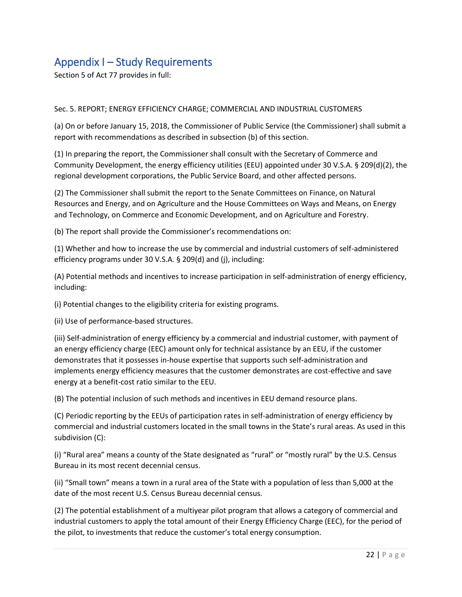# <span id="page-22-0"></span>Appendix I – Study Requirements

Section 5 of Act 77 provides in full:

### Sec. 5. REPORT; ENERGY EFFICIENCY CHARGE; COMMERCIAL AND INDUSTRIAL CUSTOMERS

(a) On or before January 15, 2018, the Commissioner of Public Service (the Commissioner) shall submit a report with recommendations as described in subsection (b) of this section.

(1) In preparing the report, the Commissioner shall consult with the Secretary of Commerce and Community Development, the energy efficiency utilities (EEU) appointed under 30 V.S.A. § 209(d)(2), the regional development corporations, the Public Service Board, and other affected persons.

(2) The Commissioner shall submit the report to the Senate Committees on Finance, on Natural Resources and Energy, and on Agriculture and the House Committees on Ways and Means, on Energy and Technology, on Commerce and Economic Development, and on Agriculture and Forestry.

(b) The report shall provide the Commissioner's recommendations on:

(1) Whether and how to increase the use by commercial and industrial customers of self-administered efficiency programs under 30 V.S.A. § 209(d) and (j), including:

(A) Potential methods and incentives to increase participation in self-administration of energy efficiency, including:

(i) Potential changes to the eligibility criteria for existing programs.

(ii) Use of performance-based structures.

(iii) Self-administration of energy efficiency by a commercial and industrial customer, with payment of an energy efficiency charge (EEC) amount only for technical assistance by an EEU, if the customer demonstrates that it possesses in-house expertise that supports such self-administration and implements energy efficiency measures that the customer demonstrates are cost-effective and save energy at a benefit-cost ratio similar to the EEU.

(B) The potential inclusion of such methods and incentives in EEU demand resource plans.

(C) Periodic reporting by the EEUs of participation rates in self-administration of energy efficiency by commercial and industrial customers located in the small towns in the State's rural areas. As used in this subdivision (C):

(i) "Rural area" means a county of the State designated as "rural" or "mostly rural" by the U.S. Census Bureau in its most recent decennial census.

(ii) "Small town" means a town in a rural area of the State with a population of less than 5,000 at the date of the most recent U.S. Census Bureau decennial census.

(2) The potential establishment of a multiyear pilot program that allows a category of commercial and industrial customers to apply the total amount of their Energy Efficiency Charge (EEC), for the period of the pilot, to investments that reduce the customer's total energy consumption.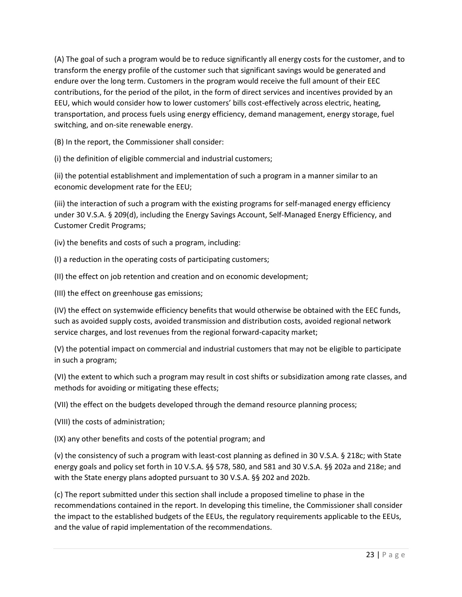(A) The goal of such a program would be to reduce significantly all energy costs for the customer, and to transform the energy profile of the customer such that significant savings would be generated and endure over the long term. Customers in the program would receive the full amount of their EEC contributions, for the period of the pilot, in the form of direct services and incentives provided by an EEU, which would consider how to lower customers' bills cost-effectively across electric, heating, transportation, and process fuels using energy efficiency, demand management, energy storage, fuel switching, and on-site renewable energy.

(B) In the report, the Commissioner shall consider:

(i) the definition of eligible commercial and industrial customers;

(ii) the potential establishment and implementation of such a program in a manner similar to an economic development rate for the EEU;

(iii) the interaction of such a program with the existing programs for self-managed energy efficiency under 30 V.S.A. § 209(d), including the Energy Savings Account, Self-Managed Energy Efficiency, and Customer Credit Programs;

(iv) the benefits and costs of such a program, including:

(I) a reduction in the operating costs of participating customers;

(II) the effect on job retention and creation and on economic development;

(III) the effect on greenhouse gas emissions;

(IV) the effect on systemwide efficiency benefits that would otherwise be obtained with the EEC funds, such as avoided supply costs, avoided transmission and distribution costs, avoided regional network service charges, and lost revenues from the regional forward-capacity market;

(V) the potential impact on commercial and industrial customers that may not be eligible to participate in such a program;

(VI) the extent to which such a program may result in cost shifts or subsidization among rate classes, and methods for avoiding or mitigating these effects;

(VII) the effect on the budgets developed through the demand resource planning process;

(VIII) the costs of administration;

(IX) any other benefits and costs of the potential program; and

(v) the consistency of such a program with least-cost planning as defined in 30 V.S.A. § 218c; with State energy goals and policy set forth in 10 V.S.A. §§ 578, 580, and 581 and 30 V.S.A. §§ 202a and 218e; and with the State energy plans adopted pursuant to 30 V.S.A. §§ 202 and 202b.

(c) The report submitted under this section shall include a proposed timeline to phase in the recommendations contained in the report. In developing this timeline, the Commissioner shall consider the impact to the established budgets of the EEUs, the regulatory requirements applicable to the EEUs, and the value of rapid implementation of the recommendations.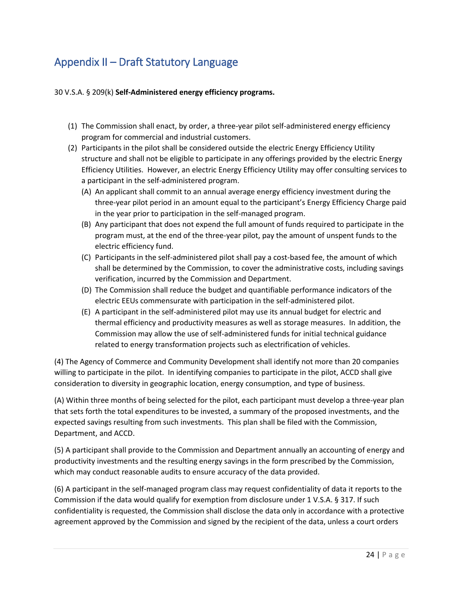# <span id="page-24-0"></span>Appendix II – Draft Statutory Language

### 30 V.S.A. § 209(k) **Self-Administered energy efficiency programs.**

- (1) The Commission shall enact, by order, a three-year pilot self-administered energy efficiency program for commercial and industrial customers.
- (2) Participants in the pilot shall be considered outside the electric Energy Efficiency Utility structure and shall not be eligible to participate in any offerings provided by the electric Energy Efficiency Utilities. However, an electric Energy Efficiency Utility may offer consulting services to a participant in the self-administered program.
	- (A) An applicant shall commit to an annual average energy efficiency investment during the three-year pilot period in an amount equal to the participant's Energy Efficiency Charge paid in the year prior to participation in the self-managed program.
	- (B) Any participant that does not expend the full amount of funds required to participate in the program must, at the end of the three-year pilot, pay the amount of unspent funds to the electric efficiency fund.
	- (C) Participants in the self-administered pilot shall pay a cost-based fee, the amount of which shall be determined by the Commission, to cover the administrative costs, including savings verification, incurred by the Commission and Department.
	- (D) The Commission shall reduce the budget and quantifiable performance indicators of the electric EEUs commensurate with participation in the self-administered pilot.
	- (E) A participant in the self-administered pilot may use its annual budget for electric and thermal efficiency and productivity measures as well as storage measures. In addition, the Commission may allow the use of self-administered funds for initial technical guidance related to energy transformation projects such as electrification of vehicles.

(4) The Agency of Commerce and Community Development shall identify not more than 20 companies willing to participate in the pilot. In identifying companies to participate in the pilot, ACCD shall give consideration to diversity in geographic location, energy consumption, and type of business.

(A) Within three months of being selected for the pilot, each participant must develop a three-year plan that sets forth the total expenditures to be invested, a summary of the proposed investments, and the expected savings resulting from such investments. This plan shall be filed with the Commission, Department, and ACCD.

(5) A participant shall provide to the Commission and Department annually an accounting of energy and productivity investments and the resulting energy savings in the form prescribed by the Commission, which may conduct reasonable audits to ensure accuracy of the data provided.

(6) A participant in the self-managed program class may request confidentiality of data it reports to the Commission if the data would qualify for exemption from disclosure under 1 V.S.A. § 317. If such confidentiality is requested, the Commission shall disclose the data only in accordance with a protective agreement approved by the Commission and signed by the recipient of the data, unless a court orders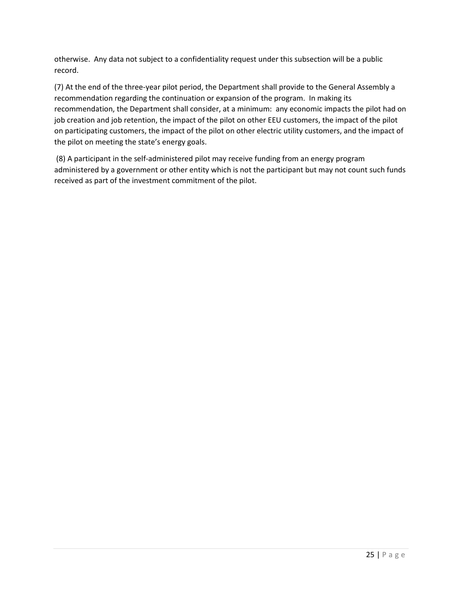otherwise. Any data not subject to a confidentiality request under this subsection will be a public record.

(7) At the end of the three-year pilot period, the Department shall provide to the General Assembly a recommendation regarding the continuation or expansion of the program. In making its recommendation, the Department shall consider, at a minimum: any economic impacts the pilot had on job creation and job retention, the impact of the pilot on other EEU customers, the impact of the pilot on participating customers, the impact of the pilot on other electric utility customers, and the impact of the pilot on meeting the state's energy goals.

(8) A participant in the self-administered pilot may receive funding from an energy program administered by a government or other entity which is not the participant but may not count such funds received as part of the investment commitment of the pilot.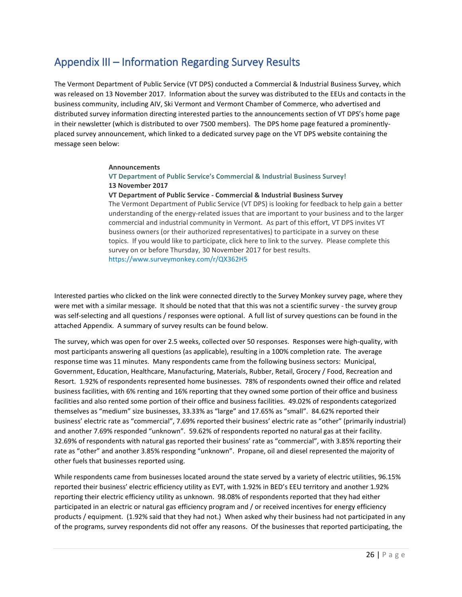# <span id="page-26-0"></span>Appendix III – Information Regarding Survey Results

The Vermont Department of Public Service (VT DPS) conducted a Commercial & Industrial Business Survey, which was released on 13 November 2017. Information about the survey was distributed to the EEUs and contacts in the business community, including AIV, Ski Vermont and Vermont Chamber of Commerce, who advertised and distributed survey information directing interested parties to the announcements section of VT DPS's home page in their newsletter (which is distributed to over 7500 members). The DPS home page featured a prominentlyplaced survey announcement, which linked to a dedicated survey page on the VT DPS website containing the message seen below:

#### **[Announcements](http://publicservice.vermont.gov/announcements)**

### **VT Department of Public Service's Commercial & Industrial Business Survey! 13 November 2017**

#### **VT Department of Public Service - Commercial & Industrial Business Survey**

The Vermont Department of Public Service (VT DPS) is looking for feedback to help gain a better understanding of the energy-related issues that are important to your business and to the larger commercial and industrial community in Vermont. As part of this effort, VT DPS invites VT business owners (or their authorized representatives) to participate in a survey on these topics. If you would like to participate, click here to link to the survey. Please complete this survey on or before Thursday, 30 November 2017 for best results. <https://www.surveymonkey.com/r/QX362H5>

Interested parties who clicked on the link were connected directly to the Survey Monkey survey page, where they were met with a similar message. It should be noted that that this was not a scientific survey - the survey group was self-selecting and all questions / responses were optional. A full list of survey questions can be found in the attached Appendix. A summary of survey results can be found below.

The survey, which was open for over 2.5 weeks, collected over 50 responses. Responses were high-quality, with most participants answering all questions (as applicable), resulting in a 100% completion rate. The average response time was 11 minutes. Many respondents came from the following business sectors: Municipal, Government, Education, Healthcare, Manufacturing, Materials, Rubber, Retail, Grocery / Food, Recreation and Resort. 1.92% of respondents represented home businesses. 78% of respondents owned their office and related business facilities, with 6% renting and 16% reporting that they owned some portion of their office and business facilities and also rented some portion of their office and business facilities. 49.02% of respondents categorized themselves as "medium" size businesses, 33.33% as "large" and 17.65% as "small". 84.62% reported their business' electric rate as "commercial", 7.69% reported their business' electric rate as "other" (primarily industrial) and another 7.69% responded "unknown". 59.62% of respondents reported no natural gas at their facility. 32.69% of respondents with natural gas reported their business' rate as "commercial", with 3.85% reporting their rate as "other" and another 3.85% responding "unknown". Propane, oil and diesel represented the majority of other fuels that businesses reported using.

While respondents came from businesses located around the state served by a variety of electric utilities, 96.15% reported their business' electric efficiency utility as EVT, with 1.92% in BED's EEU territory and another 1.92% reporting their electric efficiency utility as unknown. 98.08% of respondents reported that they had either participated in an electric or natural gas efficiency program and / or received incentives for energy efficiency products / equipment. (1.92% said that they had not.) When asked why their business had not participated in any of the programs, survey respondents did not offer any reasons. Of the businesses that reported participating, the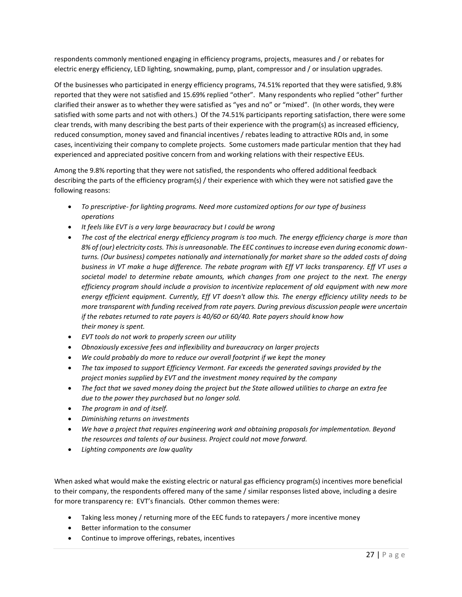respondents commonly mentioned engaging in efficiency programs, projects, measures and / or rebates for electric energy efficiency, LED lighting, snowmaking, pump, plant, compressor and / or insulation upgrades.

Of the businesses who participated in energy efficiency programs, 74.51% reported that they were satisfied, 9.8% reported that they were not satisfied and 15.69% replied "other". Many respondents who replied "other" further clarified their answer as to whether they were satisfied as "yes and no" or "mixed". (In other words, they were satisfied with some parts and not with others.) Of the 74.51% participants reporting satisfaction, there were some clear trends, with many describing the best parts of their experience with the program(s) as increased efficiency, reduced consumption, money saved and financial incentives / rebates leading to attractive ROIs and, in some cases, incentivizing their company to complete projects. Some customers made particular mention that they had experienced and appreciated positive concern from and working relations with their respective EEUs.

Among the 9.8% reporting that they were not satisfied, the respondents who offered additional feedback describing the parts of the efficiency program(s) / their experience with which they were not satisfied gave the following reasons:

- *To prescriptive- for lighting programs. Need more customized options for our type of business operations*
- *It feels like EVT is a very large beauracracy but I could be wrong*
- The cost of the electrical energy efficiency program is too much. The energy efficiency charge is more than *8% of (our) electricity costs. This is unreasonable. The EEC continues to increase even during economic downturns. (Our business) competes nationally and internationally for market share so the added costs of doing business in VT make a huge difference. The rebate program with Eff VT lacks transparency. Eff VT uses a societal model to determine rebate amounts, which changes from one project to the next. The energy efficiency program should include a provision to incentivize replacement of old equipment with new more energy efficient equipment. Currently, Eff VT doesn't allow this. The energy efficiency utility needs to be more transparent with funding received from rate payers. During previous discussion people were uncertain if the rebates returned to rate payers is 40/60 or 60/40. Rate payers should know how their money is spent.*
- *EVT tools do not work to properly screen our utility*
- *Obnoxiously excessive fees and inflexibility and bureaucracy on larger projects*
- *We could probably do more to reduce our overall footprint if we kept the money*
- *The tax imposed to support Efficiency Vermont. Far exceeds the generated savings provided by the project monies supplied by EVT and the investment money required by the company*
- *The fact that we saved money doing the project but the State allowed utilities to charge an extra fee due to the power they purchased but no longer sold.*
- *The program in and of itself.*
- *Diminishing returns on investments*
- *We have a project that requires engineering work and obtaining proposals for implementation. Beyond the resources and talents of our business. Project could not move forward.*
- *Lighting components are low quality*

When asked what would make the existing electric or natural gas efficiency program(s) incentives more beneficial to their company, the respondents offered many of the same / similar responses listed above, including a desire for more transparency re: EVT's financials. Other common themes were:

- Taking less money / returning more of the EEC funds to ratepayers / more incentive money
- Better information to the consumer
- Continue to improve offerings, rebates, incentives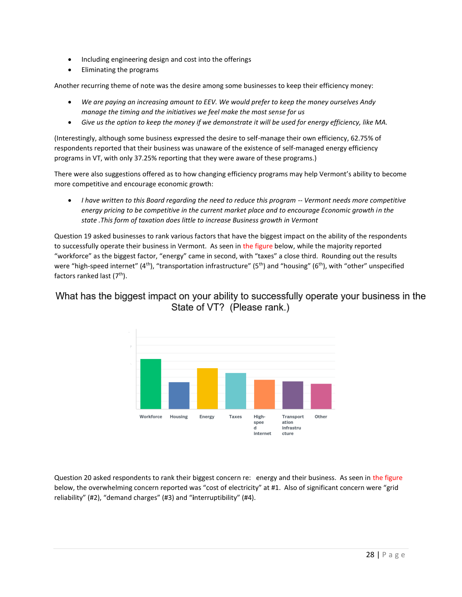- Including engineering design and cost into the offerings
- Eliminating the programs

Another recurring theme of note was the desire among some businesses to keep their efficiency money:

- *We are paying an increasing amount to EEV. We would prefer to keep the money ourselves Andy manage the timing and the initiatives we feel make the most sense for us*
- *Give us the option to keep the money if we demonstrate it will be used for energy efficiency, like MA.*

(Interestingly, although some business expressed the desire to self-manage their own efficiency, 62.75% of respondents reported that their business was unaware of the existence of self-managed energy efficiency programs in VT, with only 37.25% reporting that they were aware of these programs.)

There were also suggestions offered as to how changing efficiency programs may help Vermont's ability to become more competitive and encourage economic growth:

 *I have written to this Board regarding the need to reduce this program -- Vermont needs more competitive energy pricing to be competitive in the current market place and to encourage Economic growth in the state .This form of taxation does little to increase Business growth in Vermont*

Question 19 asked businesses to rank various factors that have the biggest impact on the ability of the respondents to successfully operate their business in Vermont. As seen in the figure below, while the majority reported "workforce" as the biggest factor, "energy" came in second, with "taxes" a close third. Rounding out the results were "high-speed internet" (4<sup>th</sup>), "transportation infrastructure" (5<sup>th</sup>) and "housing" (6<sup>th</sup>), with "other" unspecified factors ranked last  $(7<sup>th</sup>)$ .

# What has the biggest impact on your ability to successfully operate your business in the State of VT? (Please rank.)



Question 20 asked respondents to rank their biggest concern re: energy and their business. As seen in the figure below, the overwhelming concern reported was "cost of electricity" at #1. Also of significant concern were "grid reliability" (#2), "demand charges" (#3) and "**i**nterruptibility" (#4).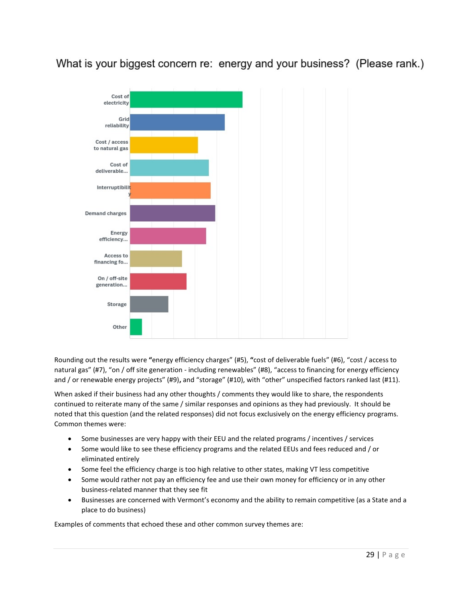



Rounding out the results were **"**energy efficiency charges" (#5), **"**cost of deliverable fuels" (#6), "cost / access to natural gas" (#7), "on / off site generation - including renewables" (#8), "access to financing for energy efficiency and / or renewable energy projects" (#9)**,** and "storage" (#10), with "other" unspecified factors ranked last (#11).

When asked if their business had any other thoughts / comments they would like to share, the respondents continued to reiterate many of the same / similar responses and opinions as they had previously. It should be noted that this question (and the related responses) did not focus exclusively on the energy efficiency programs. Common themes were:

- Some businesses are very happy with their EEU and the related programs / incentives / services
- Some would like to see these efficiency programs and the related EEUs and fees reduced and / or eliminated entirely
- Some feel the efficiency charge is too high relative to other states, making VT less competitive
- Some would rather not pay an efficiency fee and use their own money for efficiency or in any other business-related manner that they see fit
- Businesses are concerned with Vermont's economy and the ability to remain competitive (as a State and a place to do business)

Examples of comments that echoed these and other common survey themes are: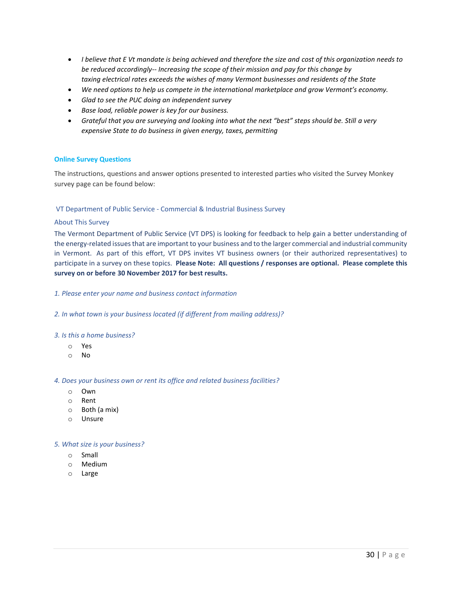- *I believe that E Vt mandate is being achieved and therefore the size and cost of this organization needs to be reduced accordingly-- Increasing the scope of their mission and pay for this change by taxing electrical rates exceeds the wishes of many Vermont businesses and residents of the State*
- *We need options to help us compete in the international marketplace and grow Vermont's economy.*
- *Glad to see the PUC doing an independent survey*
- *Base load, reliable power is key for our business.*
- **•** Grateful that you are surveying and looking into what the next "best" steps should be. Still a very *expensive State to do business in given energy, taxes, permitting*

### **Online Survey Questions**

The instructions, questions and answer options presented to interested parties who visited the Survey Monkey survey page can be found below:

### VT Department of Public Service - Commercial & Industrial Business Survey

#### About This Survey

The Vermont Department of Public Service (VT DPS) is looking for feedback to help gain a better understanding of the energy-related issues that are important to your business and to the larger commercial and industrial community in Vermont. As part of this effort, VT DPS invites VT business owners (or their authorized representatives) to participate in a survey on these topics. **Please Note: All questions / responses are optional. Please complete this survey on or before 30 November 2017 for best results.**

#### *1. Please enter your name and business contact information*

*2. In what town is your business located (if different from mailing address)?*

#### *3. Is this a home business?*

- o Yes
- o No

#### *4. Does your business own or rent its office and related business facilities?*

- o Own
- o Rent
- o Both (a mix)
- o Unsure

#### *5. What size is your business?*

- o Small
- o Medium
- o Large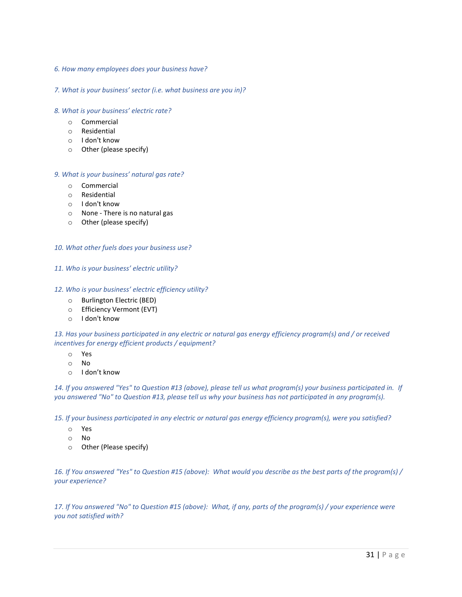### *6. How many employees does your business have?*

### *7. What is your business' sector (i.e. what business are you in)?*

### *8. What is your business' electric rate?*

- o Commercial
- o Residential
- o I don't know
- o Other (please specify)

### *9. What is your business' natural gas rate?*

- o Commercial
- o Residential
- o I don't know
- o None There is no natural gas
- o Other (please specify)

### *10. What other fuels does your business use?*

### *11. Who is your business' electric utility?*

### *12. Who is your business' electric efficiency utility?*

- o Burlington Electric (BED)
- o Efficiency Vermont (EVT)
- o I don't know

### *13. Has your business participated in any electric or natural gas energy efficiency program(s) and / or received incentives for energy efficient products / equipment?*

- o Yes
- o No
- o I don't know

*14. If you answered "Yes" to Question #13 (above), please tell us what program(s) your business participated in. If you answered "No" to Question #13, please tell us why your business has not participated in any program(s).*

*15. If your business participated in any electric or natural gas energy efficiency program(s), were you satisfied?*

- o Yes
- o No
- o Other (Please specify)

*16. If You answered "Yes" to Question #15 (above): What would you describe as the best parts of the program(s) / your experience?*

*17. If You answered "No" to Question #15 (above): What, if any, parts of the program(s) / your experience were you not satisfied with?*